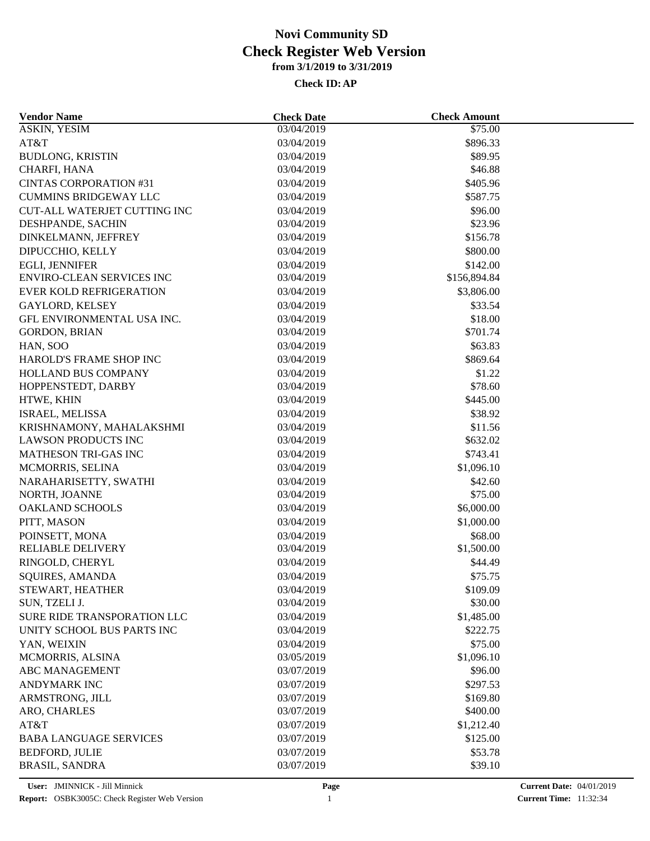| <b>Vendor Name</b>                  | <b>Check Date</b> | <b>Check Amount</b> |  |
|-------------------------------------|-------------------|---------------------|--|
| <b>ASKIN, YESIM</b>                 | 03/04/2019        | \$75.00             |  |
| AT&T                                | 03/04/2019        | \$896.33            |  |
| <b>BUDLONG, KRISTIN</b>             | 03/04/2019        | \$89.95             |  |
| CHARFI, HANA                        | 03/04/2019        | \$46.88             |  |
| <b>CINTAS CORPORATION #31</b>       | 03/04/2019        | \$405.96            |  |
| <b>CUMMINS BRIDGEWAY LLC</b>        | 03/04/2019        | \$587.75            |  |
| <b>CUT-ALL WATERJET CUTTING INC</b> | 03/04/2019        | \$96.00             |  |
| DESHPANDE, SACHIN                   | 03/04/2019        | \$23.96             |  |
| DINKELMANN, JEFFREY                 | 03/04/2019        | \$156.78            |  |
| DIPUCCHIO, KELLY                    | 03/04/2019        | \$800.00            |  |
| EGLI, JENNIFER                      | 03/04/2019        | \$142.00            |  |
| <b>ENVIRO-CLEAN SERVICES INC</b>    | 03/04/2019        | \$156,894.84        |  |
| <b>EVER KOLD REFRIGERATION</b>      | 03/04/2019        | \$3,806.00          |  |
| <b>GAYLORD, KELSEY</b>              | 03/04/2019        | \$33.54             |  |
| GFL ENVIRONMENTAL USA INC.          | 03/04/2019        | \$18.00             |  |
| <b>GORDON, BRIAN</b>                | 03/04/2019        | \$701.74            |  |
| HAN, SOO                            | 03/04/2019        | \$63.83             |  |
| HAROLD'S FRAME SHOP INC             | 03/04/2019        | \$869.64            |  |
| HOLLAND BUS COMPANY                 | 03/04/2019        | \$1.22              |  |
| HOPPENSTEDT, DARBY                  | 03/04/2019        | \$78.60             |  |
| HTWE, KHIN                          | 03/04/2019        | \$445.00            |  |
| ISRAEL, MELISSA                     | 03/04/2019        | \$38.92             |  |
| KRISHNAMONY, MAHALAKSHMI            | 03/04/2019        | \$11.56             |  |
| <b>LAWSON PRODUCTS INC</b>          | 03/04/2019        | \$632.02            |  |
| MATHESON TRI-GAS INC                | 03/04/2019        | \$743.41            |  |
|                                     |                   |                     |  |
| MCMORRIS, SELINA                    | 03/04/2019        | \$1,096.10          |  |
| NARAHARISETTY, SWATHI               | 03/04/2019        | \$42.60             |  |
| NORTH, JOANNE                       | 03/04/2019        | \$75.00             |  |
| <b>OAKLAND SCHOOLS</b>              | 03/04/2019        | \$6,000.00          |  |
| PITT, MASON                         | 03/04/2019        | \$1,000.00          |  |
| POINSETT, MONA                      | 03/04/2019        | \$68.00             |  |
| <b>RELIABLE DELIVERY</b>            | 03/04/2019        | \$1,500.00          |  |
| RINGOLD, CHERYL                     | 03/04/2019        | \$44.49             |  |
| <b>SQUIRES, AMANDA</b>              | 03/04/2019        | \$75.75             |  |
| STEWART, HEATHER                    | 03/04/2019        | \$109.09            |  |
| SUN, TZELI J.                       | 03/04/2019        | \$30.00             |  |
| SURE RIDE TRANSPORATION LLC         | 03/04/2019        | \$1,485.00          |  |
| UNITY SCHOOL BUS PARTS INC          | 03/04/2019        | \$222.75            |  |
| YAN, WEIXIN                         | 03/04/2019        | \$75.00             |  |
| MCMORRIS, ALSINA                    | 03/05/2019        | \$1,096.10          |  |
| ABC MANAGEMENT                      | 03/07/2019        | \$96.00             |  |
| <b>ANDYMARK INC</b>                 | 03/07/2019        | \$297.53            |  |
| ARMSTRONG, JILL                     | 03/07/2019        | \$169.80            |  |
| ARO, CHARLES                        | 03/07/2019        | \$400.00            |  |
| AT&T                                | 03/07/2019        | \$1,212.40          |  |
| <b>BABA LANGUAGE SERVICES</b>       | 03/07/2019        | \$125.00            |  |
| <b>BEDFORD, JULIE</b>               | 03/07/2019        | \$53.78             |  |
| <b>BRASIL, SANDRA</b>               | 03/07/2019        | \$39.10             |  |
|                                     |                   |                     |  |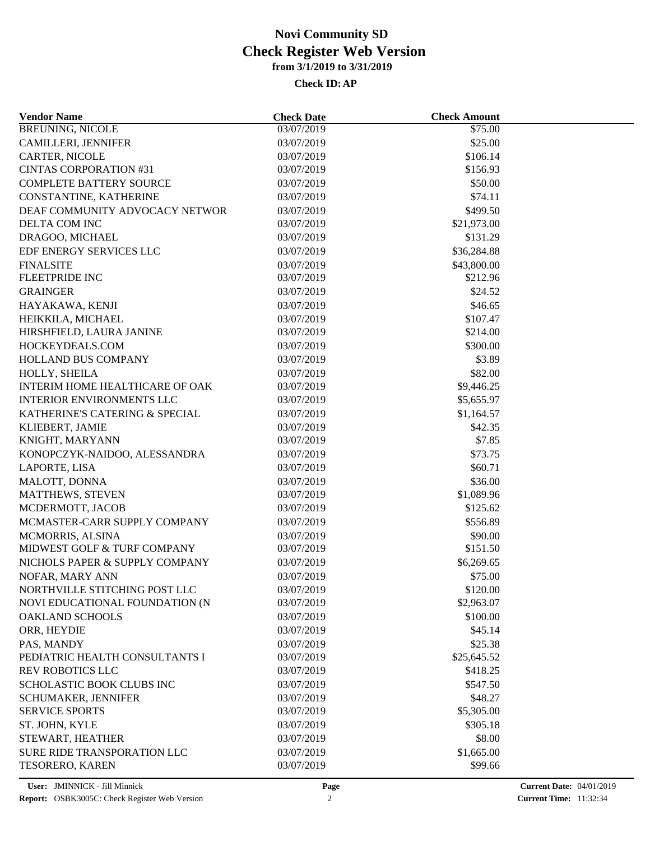| <b>Vendor Name</b>               | <b>Check Date</b> | <b>Check Amount</b> |  |
|----------------------------------|-------------------|---------------------|--|
| <b>BREUNING, NICOLE</b>          | 03/07/2019        | \$75.00             |  |
| <b>CAMILLERI, JENNIFER</b>       | 03/07/2019        | \$25.00             |  |
| <b>CARTER, NICOLE</b>            | 03/07/2019        | \$106.14            |  |
| <b>CINTAS CORPORATION #31</b>    | 03/07/2019        | \$156.93            |  |
| <b>COMPLETE BATTERY SOURCE</b>   | 03/07/2019        | \$50.00             |  |
| CONSTANTINE, KATHERINE           | 03/07/2019        | \$74.11             |  |
| DEAF COMMUNITY ADVOCACY NETWOR   | 03/07/2019        | \$499.50            |  |
| DELTA COM INC                    | 03/07/2019        | \$21,973.00         |  |
| DRAGOO, MICHAEL                  | 03/07/2019        | \$131.29            |  |
| EDF ENERGY SERVICES LLC          | 03/07/2019        | \$36,284.88         |  |
| <b>FINALSITE</b>                 | 03/07/2019        | \$43,800.00         |  |
| <b>FLEETPRIDE INC</b>            | 03/07/2019        | \$212.96            |  |
| <b>GRAINGER</b>                  | 03/07/2019        | \$24.52             |  |
| HAYAKAWA, KENJI                  | 03/07/2019        | \$46.65             |  |
| HEIKKILA, MICHAEL                | 03/07/2019        | \$107.47            |  |
| HIRSHFIELD, LAURA JANINE         | 03/07/2019        | \$214.00            |  |
| HOCKEYDEALS.COM                  | 03/07/2019        | \$300.00            |  |
| HOLLAND BUS COMPANY              | 03/07/2019        | \$3.89              |  |
| HOLLY, SHEILA                    | 03/07/2019        | \$82.00             |  |
| INTERIM HOME HEALTHCARE OF OAK   | 03/07/2019        | \$9,446.25          |  |
| <b>INTERIOR ENVIRONMENTS LLC</b> | 03/07/2019        | \$5,655.97          |  |
| KATHERINE'S CATERING & SPECIAL   | 03/07/2019        | \$1,164.57          |  |
| KLIEBERT, JAMIE                  | 03/07/2019        | \$42.35             |  |
| KNIGHT, MARYANN                  | 03/07/2019        | \$7.85              |  |
| KONOPCZYK-NAIDOO, ALESSANDRA     | 03/07/2019        | \$73.75             |  |
|                                  |                   | \$60.71             |  |
| LAPORTE, LISA                    | 03/07/2019        |                     |  |
| MALOTT, DONNA                    | 03/07/2019        | \$36.00             |  |
| MATTHEWS, STEVEN                 | 03/07/2019        | \$1,089.96          |  |
| MCDERMOTT, JACOB                 | 03/07/2019        | \$125.62            |  |
| MCMASTER-CARR SUPPLY COMPANY     | 03/07/2019        | \$556.89            |  |
| MCMORRIS, ALSINA                 | 03/07/2019        | \$90.00             |  |
| MIDWEST GOLF & TURF COMPANY      | 03/07/2019        | \$151.50            |  |
| NICHOLS PAPER & SUPPLY COMPANY   | 03/07/2019        | \$6,269.65          |  |
| NOFAR, MARY ANN                  | 03/07/2019        | \$75.00             |  |
| NORTHVILLE STITCHING POST LLC    | 03/07/2019        | \$120.00            |  |
| NOVI EDUCATIONAL FOUNDATION (N   | 03/07/2019        | \$2,963.07          |  |
| <b>OAKLAND SCHOOLS</b>           | 03/07/2019        | \$100.00            |  |
| ORR, HEYDIE                      | 03/07/2019        | \$45.14             |  |
| PAS, MANDY                       | 03/07/2019        | \$25.38             |  |
| PEDIATRIC HEALTH CONSULTANTS I   | 03/07/2019        | \$25,645.52         |  |
| <b>REV ROBOTICS LLC</b>          | 03/07/2019        | \$418.25            |  |
| SCHOLASTIC BOOK CLUBS INC        | 03/07/2019        | \$547.50            |  |
| <b>SCHUMAKER, JENNIFER</b>       | 03/07/2019        | \$48.27             |  |
| <b>SERVICE SPORTS</b>            | 03/07/2019        | \$5,305.00          |  |
| ST. JOHN, KYLE                   | 03/07/2019        | \$305.18            |  |
| STEWART, HEATHER                 | 03/07/2019        | \$8.00              |  |
| SURE RIDE TRANSPORATION LLC      | 03/07/2019        | \$1,665.00          |  |
| TESORERO, KAREN                  | 03/07/2019        | \$99.66             |  |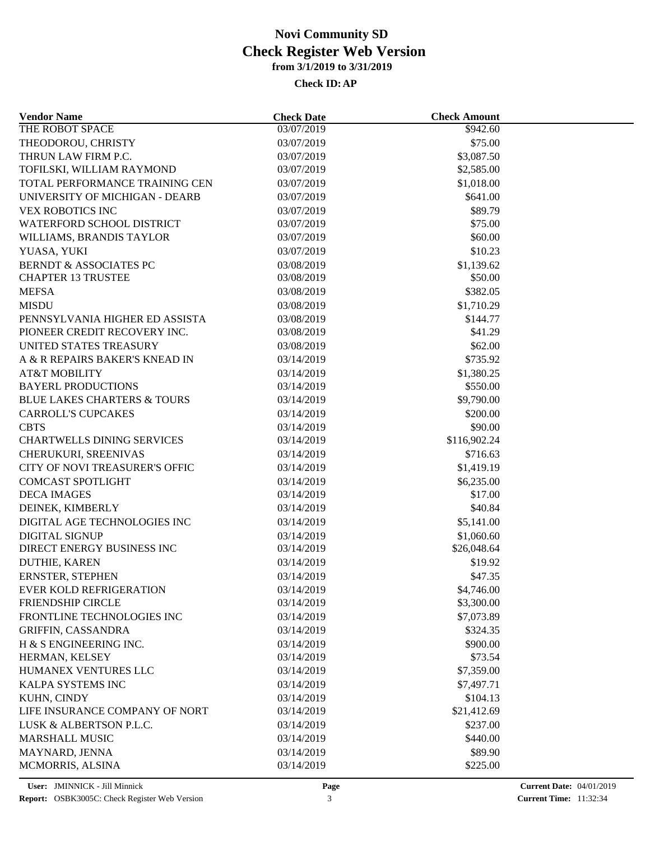| <b>Vendor Name</b>                     | <b>Check Date</b> | <b>Check Amount</b>    |  |
|----------------------------------------|-------------------|------------------------|--|
| THE ROBOT SPACE                        | 03/07/2019        | \$942.60               |  |
| THEODOROU, CHRISTY                     | 03/07/2019        | \$75.00                |  |
| THRUN LAW FIRM P.C.                    | 03/07/2019        | \$3,087.50             |  |
| TOFILSKI, WILLIAM RAYMOND              | 03/07/2019        | \$2,585.00             |  |
| TOTAL PERFORMANCE TRAINING CEN         | 03/07/2019        | \$1,018.00             |  |
| UNIVERSITY OF MICHIGAN - DEARB         | 03/07/2019        | \$641.00               |  |
| <b>VEX ROBOTICS INC</b>                | 03/07/2019        | \$89.79                |  |
| WATERFORD SCHOOL DISTRICT              | 03/07/2019        | \$75.00                |  |
| WILLIAMS, BRANDIS TAYLOR               | 03/07/2019        | \$60.00                |  |
| YUASA, YUKI                            | 03/07/2019        | \$10.23                |  |
| <b>BERNDT &amp; ASSOCIATES PC</b>      | 03/08/2019        | \$1,139.62             |  |
| <b>CHAPTER 13 TRUSTEE</b>              | 03/08/2019        | \$50.00                |  |
| <b>MEFSA</b>                           | 03/08/2019        | \$382.05               |  |
| <b>MISDU</b>                           | 03/08/2019        | \$1,710.29             |  |
| PENNSYLVANIA HIGHER ED ASSISTA         | 03/08/2019        | \$144.77               |  |
| PIONEER CREDIT RECOVERY INC.           | 03/08/2019        | \$41.29                |  |
| UNITED STATES TREASURY                 | 03/08/2019        | \$62.00                |  |
| A & R REPAIRS BAKER'S KNEAD IN         | 03/14/2019        | \$735.92               |  |
| <b>AT&amp;T MOBILITY</b>               | 03/14/2019        |                        |  |
| <b>BAYERL PRODUCTIONS</b>              | 03/14/2019        | \$1,380.25<br>\$550.00 |  |
|                                        |                   |                        |  |
| <b>BLUE LAKES CHARTERS &amp; TOURS</b> | 03/14/2019        | \$9,790.00             |  |
| <b>CARROLL'S CUPCAKES</b>              | 03/14/2019        | \$200.00               |  |
| <b>CBTS</b>                            | 03/14/2019        | \$90.00                |  |
| <b>CHARTWELLS DINING SERVICES</b>      | 03/14/2019        | \$116,902.24           |  |
| CHERUKURI, SREENIVAS                   | 03/14/2019        | \$716.63               |  |
| <b>CITY OF NOVI TREASURER'S OFFIC</b>  | 03/14/2019        | \$1,419.19             |  |
| <b>COMCAST SPOTLIGHT</b>               | 03/14/2019        | \$6,235.00             |  |
| <b>DECA IMAGES</b>                     | 03/14/2019        | \$17.00                |  |
| DEINEK, KIMBERLY                       | 03/14/2019        | \$40.84                |  |
| DIGITAL AGE TECHNOLOGIES INC           | 03/14/2019        | \$5,141.00             |  |
| <b>DIGITAL SIGNUP</b>                  | 03/14/2019        | \$1,060.60             |  |
| DIRECT ENERGY BUSINESS INC             | 03/14/2019        | \$26,048.64            |  |
| DUTHIE, KAREN                          | 03/14/2019        | \$19.92                |  |
| ERNSTER, STEPHEN                       | 03/14/2019        | \$47.35                |  |
| EVER KOLD REFRIGERATION                | 03/14/2019        | \$4,746.00             |  |
| <b>FRIENDSHIP CIRCLE</b>               | 03/14/2019        | \$3,300.00             |  |
| FRONTLINE TECHNOLOGIES INC             | 03/14/2019        | \$7,073.89             |  |
| <b>GRIFFIN, CASSANDRA</b>              | 03/14/2019        | \$324.35               |  |
| H & S ENGINEERING INC.                 | 03/14/2019        | \$900.00               |  |
| HERMAN, KELSEY                         | 03/14/2019        | \$73.54                |  |
| HUMANEX VENTURES LLC                   | 03/14/2019        | \$7,359.00             |  |
| KALPA SYSTEMS INC                      | 03/14/2019        | \$7,497.71             |  |
| KUHN, CINDY                            | 03/14/2019        | \$104.13               |  |
| LIFE INSURANCE COMPANY OF NORT         | 03/14/2019        | \$21,412.69            |  |
| LUSK & ALBERTSON P.L.C.                | 03/14/2019        | \$237.00               |  |
| <b>MARSHALL MUSIC</b>                  | 03/14/2019        | \$440.00               |  |
| MAYNARD, JENNA                         | 03/14/2019        | \$89.90                |  |
| MCMORRIS, ALSINA                       | 03/14/2019        | \$225.00               |  |
|                                        |                   |                        |  |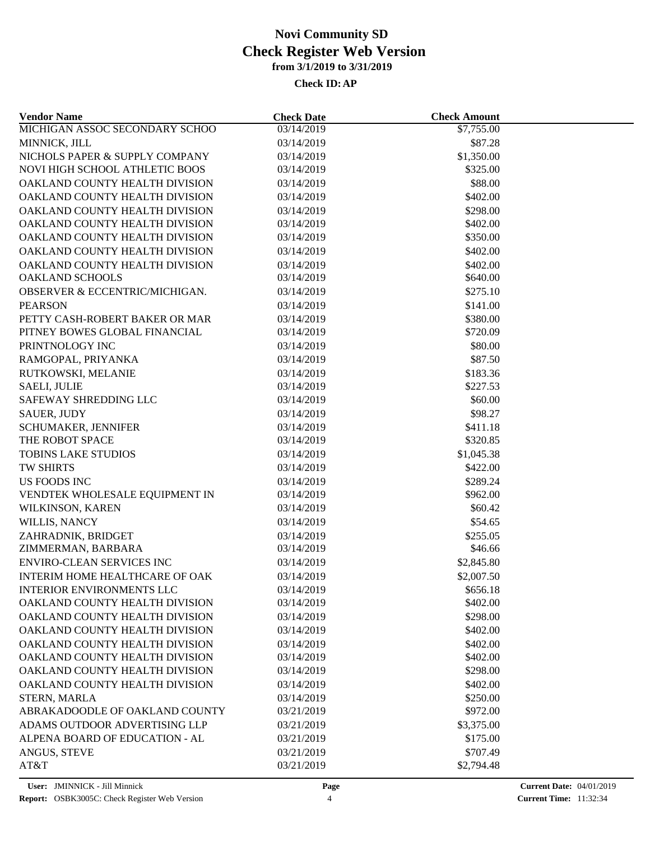| <b>Vendor Name</b>               | <b>Check Date</b> | <b>Check Amount</b> |  |
|----------------------------------|-------------------|---------------------|--|
| MICHIGAN ASSOC SECONDARY SCHOO   | 03/14/2019        | \$7,755.00          |  |
| MINNICK, JILL                    | 03/14/2019        | \$87.28             |  |
| NICHOLS PAPER & SUPPLY COMPANY   | 03/14/2019        | \$1,350.00          |  |
| NOVI HIGH SCHOOL ATHLETIC BOOS   | 03/14/2019        | \$325.00            |  |
| OAKLAND COUNTY HEALTH DIVISION   | 03/14/2019        | \$88.00             |  |
| OAKLAND COUNTY HEALTH DIVISION   | 03/14/2019        | \$402.00            |  |
| OAKLAND COUNTY HEALTH DIVISION   | 03/14/2019        | \$298.00            |  |
| OAKLAND COUNTY HEALTH DIVISION   | 03/14/2019        | \$402.00            |  |
| OAKLAND COUNTY HEALTH DIVISION   | 03/14/2019        | \$350.00            |  |
| OAKLAND COUNTY HEALTH DIVISION   | 03/14/2019        | \$402.00            |  |
| OAKLAND COUNTY HEALTH DIVISION   | 03/14/2019        | \$402.00            |  |
| OAKLAND SCHOOLS                  | 03/14/2019        | \$640.00            |  |
| OBSERVER & ECCENTRIC/MICHIGAN.   | 03/14/2019        | \$275.10            |  |
| <b>PEARSON</b>                   | 03/14/2019        | \$141.00            |  |
| PETTY CASH-ROBERT BAKER OR MAR   | 03/14/2019        | \$380.00            |  |
| PITNEY BOWES GLOBAL FINANCIAL    | 03/14/2019        | \$720.09            |  |
| PRINTNOLOGY INC                  | 03/14/2019        | \$80.00             |  |
| RAMGOPAL, PRIYANKA               | 03/14/2019        | \$87.50             |  |
| RUTKOWSKI, MELANIE               | 03/14/2019        | \$183.36            |  |
| <b>SAELI, JULIE</b>              | 03/14/2019        | \$227.53            |  |
| SAFEWAY SHREDDING LLC            | 03/14/2019        | \$60.00             |  |
| <b>SAUER, JUDY</b>               | 03/14/2019        | \$98.27             |  |
| SCHUMAKER, JENNIFER              | 03/14/2019        | \$411.18            |  |
| THE ROBOT SPACE                  | 03/14/2019        | \$320.85            |  |
| <b>TOBINS LAKE STUDIOS</b>       | 03/14/2019        | \$1,045.38          |  |
| TW SHIRTS                        | 03/14/2019        | \$422.00            |  |
| US FOODS INC                     | 03/14/2019        | \$289.24            |  |
| VENDTEK WHOLESALE EQUIPMENT IN   | 03/14/2019        | \$962.00            |  |
| WILKINSON, KAREN                 | 03/14/2019        | \$60.42             |  |
| WILLIS, NANCY                    | 03/14/2019        | \$54.65             |  |
| ZAHRADNIK, BRIDGET               | 03/14/2019        | \$255.05            |  |
| ZIMMERMAN, BARBARA               | 03/14/2019        | \$46.66             |  |
| <b>ENVIRO-CLEAN SERVICES INC</b> | 03/14/2019        | \$2,845.80          |  |
| INTERIM HOME HEALTHCARE OF OAK   | 03/14/2019        | \$2,007.50          |  |
| <b>INTERIOR ENVIRONMENTS LLC</b> | 03/14/2019        | \$656.18            |  |
| OAKLAND COUNTY HEALTH DIVISION   | 03/14/2019        | \$402.00            |  |
| OAKLAND COUNTY HEALTH DIVISION   | 03/14/2019        | \$298.00            |  |
| OAKLAND COUNTY HEALTH DIVISION   | 03/14/2019        | \$402.00            |  |
| OAKLAND COUNTY HEALTH DIVISION   | 03/14/2019        | \$402.00            |  |
| OAKLAND COUNTY HEALTH DIVISION   | 03/14/2019        | \$402.00            |  |
| OAKLAND COUNTY HEALTH DIVISION   | 03/14/2019        | \$298.00            |  |
| OAKLAND COUNTY HEALTH DIVISION   | 03/14/2019        | \$402.00            |  |
| STERN, MARLA                     | 03/14/2019        | \$250.00            |  |
| ABRAKADOODLE OF OAKLAND COUNTY   | 03/21/2019        | \$972.00            |  |
| ADAMS OUTDOOR ADVERTISING LLP    | 03/21/2019        | \$3,375.00          |  |
| ALPENA BOARD OF EDUCATION - AL   | 03/21/2019        | \$175.00            |  |
|                                  | 03/21/2019        | \$707.49            |  |
| ANGUS, STEVE<br>AT&T             | 03/21/2019        | \$2,794.48          |  |
|                                  |                   |                     |  |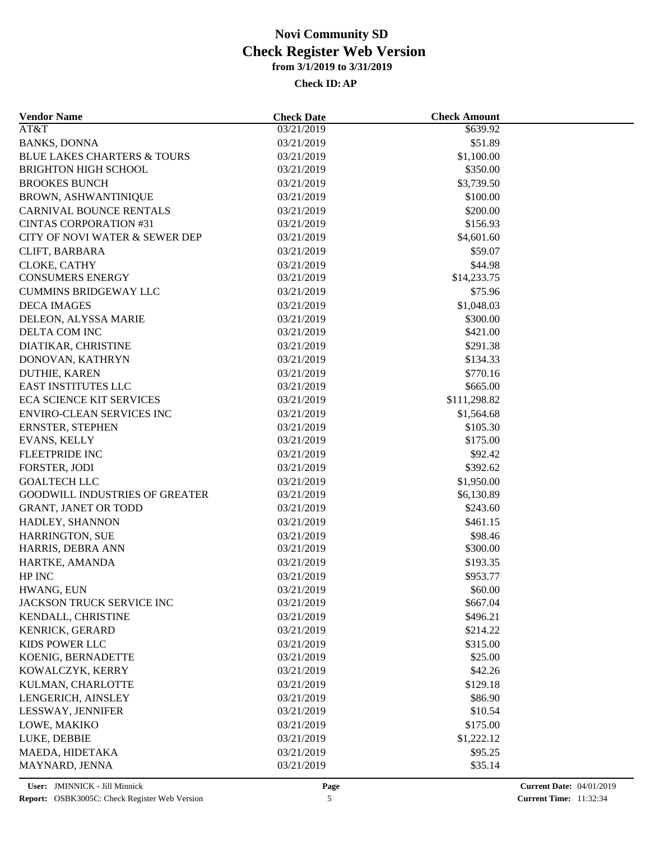| <b>Vendor Name</b>                     | <b>Check Date</b> | <b>Check Amount</b> |  |
|----------------------------------------|-------------------|---------------------|--|
| AT&T                                   | 03/21/2019        | \$639.92            |  |
| <b>BANKS, DONNA</b>                    | 03/21/2019        | \$51.89             |  |
| <b>BLUE LAKES CHARTERS &amp; TOURS</b> | 03/21/2019        | \$1,100.00          |  |
| <b>BRIGHTON HIGH SCHOOL</b>            | 03/21/2019        | \$350.00            |  |
| <b>BROOKES BUNCH</b>                   | 03/21/2019        | \$3,739.50          |  |
| <b>BROWN, ASHWANTINIQUE</b>            | 03/21/2019        | \$100.00            |  |
| <b>CARNIVAL BOUNCE RENTALS</b>         | 03/21/2019        | \$200.00            |  |
| <b>CINTAS CORPORATION #31</b>          | 03/21/2019        | \$156.93            |  |
| CITY OF NOVI WATER & SEWER DEP         | 03/21/2019        | \$4,601.60          |  |
| CLIFT, BARBARA                         | 03/21/2019        | \$59.07             |  |
| CLOKE, CATHY                           | 03/21/2019        | \$44.98             |  |
| <b>CONSUMERS ENERGY</b>                | 03/21/2019        | \$14,233.75         |  |
| <b>CUMMINS BRIDGEWAY LLC</b>           | 03/21/2019        | \$75.96             |  |
| <b>DECA IMAGES</b>                     | 03/21/2019        | \$1,048.03          |  |
| DELEON, ALYSSA MARIE                   | 03/21/2019        | \$300.00            |  |
| DELTA COM INC                          | 03/21/2019        | \$421.00            |  |
| DIATIKAR, CHRISTINE                    | 03/21/2019        | \$291.38            |  |
| DONOVAN, KATHRYN                       | 03/21/2019        | \$134.33            |  |
| DUTHIE, KAREN                          | 03/21/2019        | \$770.16            |  |
| EAST INSTITUTES LLC                    | 03/21/2019        | \$665.00            |  |
| <b>ECA SCIENCE KIT SERVICES</b>        | 03/21/2019        | \$111,298.82        |  |
| <b>ENVIRO-CLEAN SERVICES INC</b>       | 03/21/2019        | \$1,564.68          |  |
| ERNSTER, STEPHEN                       | 03/21/2019        | \$105.30            |  |
| EVANS, KELLY                           | 03/21/2019        | \$175.00            |  |
| <b>FLEETPRIDE INC</b>                  | 03/21/2019        | \$92.42             |  |
| FORSTER, JODI                          | 03/21/2019        | \$392.62            |  |
| <b>GOALTECH LLC</b>                    | 03/21/2019        | \$1,950.00          |  |
| <b>GOODWILL INDUSTRIES OF GREATER</b>  | 03/21/2019        | \$6,130.89          |  |
| <b>GRANT, JANET OR TODD</b>            | 03/21/2019        | \$243.60            |  |
| HADLEY, SHANNON                        | 03/21/2019        | \$461.15            |  |
| <b>HARRINGTON, SUE</b>                 | 03/21/2019        | \$98.46             |  |
| HARRIS, DEBRA ANN                      | 03/21/2019        | \$300.00            |  |
| HARTKE, AMANDA                         | 03/21/2019        | \$193.35            |  |
| HP INC                                 | 03/21/2019        | \$953.77            |  |
| HWANG, EUN                             | 03/21/2019        | \$60.00             |  |
| JACKSON TRUCK SERVICE INC              | 03/21/2019        | \$667.04            |  |
| KENDALL, CHRISTINE                     | 03/21/2019        | \$496.21            |  |
| KENRICK, GERARD                        |                   |                     |  |
| KIDS POWER LLC                         | 03/21/2019        | \$214.22            |  |
| KOENIG, BERNADETTE                     | 03/21/2019        | \$315.00            |  |
|                                        | 03/21/2019        | \$25.00             |  |
| KOWALCZYK, KERRY                       | 03/21/2019        | \$42.26             |  |
| KULMAN, CHARLOTTE                      | 03/21/2019        | \$129.18            |  |
| LENGERICH, AINSLEY                     | 03/21/2019        | \$86.90             |  |
| LESSWAY, JENNIFER                      | 03/21/2019        | \$10.54             |  |
| LOWE, MAKIKO                           | 03/21/2019        | \$175.00            |  |
| LUKE, DEBBIE                           | 03/21/2019        | \$1,222.12          |  |
| MAEDA, HIDETAKA                        | 03/21/2019        | \$95.25             |  |
| MAYNARD, JENNA                         | 03/21/2019        | \$35.14             |  |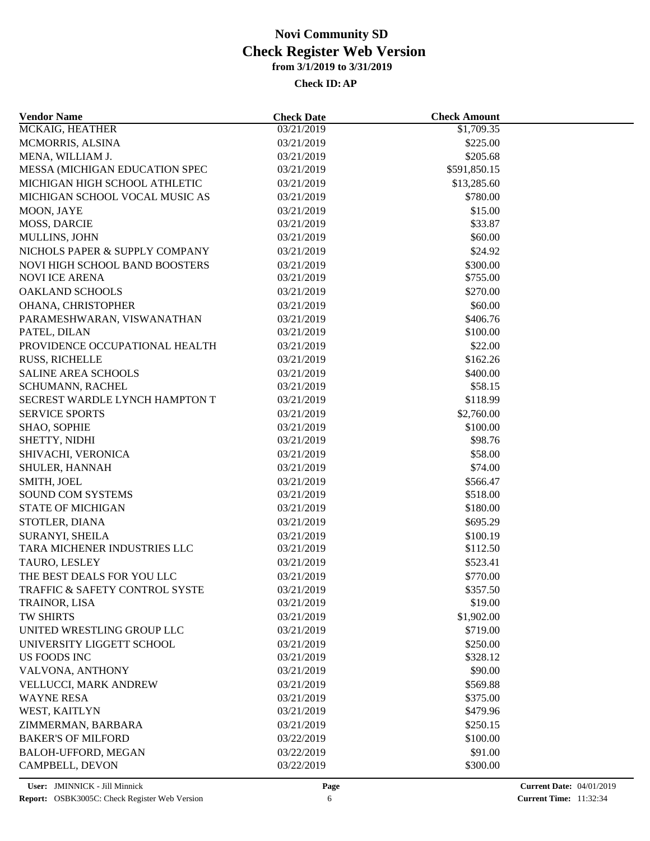| <b>Vendor Name</b>                    | <b>Check Date</b> | <b>Check Amount</b>   |  |
|---------------------------------------|-------------------|-----------------------|--|
| MCKAIG, HEATHER                       | 03/21/2019        | \$1,709.35            |  |
| MCMORRIS, ALSINA                      | 03/21/2019        | \$225.00              |  |
| MENA, WILLIAM J.                      | 03/21/2019        | \$205.68              |  |
| MESSA (MICHIGAN EDUCATION SPEC        | 03/21/2019        | \$591,850.15          |  |
| MICHIGAN HIGH SCHOOL ATHLETIC         | 03/21/2019        | \$13,285.60           |  |
| MICHIGAN SCHOOL VOCAL MUSIC AS        | 03/21/2019        | \$780.00              |  |
| MOON, JAYE                            | 03/21/2019        | \$15.00               |  |
| MOSS, DARCIE                          | 03/21/2019        | \$33.87               |  |
| MULLINS, JOHN                         | 03/21/2019        | \$60.00               |  |
| NICHOLS PAPER & SUPPLY COMPANY        | 03/21/2019        | \$24.92               |  |
| <b>NOVI HIGH SCHOOL BAND BOOSTERS</b> | 03/21/2019        | \$300.00              |  |
| <b>NOVI ICE ARENA</b>                 | 03/21/2019        | \$755.00              |  |
| <b>OAKLAND SCHOOLS</b>                | 03/21/2019        | \$270.00              |  |
| OHANA, CHRISTOPHER                    | 03/21/2019        | \$60.00               |  |
| PARAMESHWARAN, VISWANATHAN            | 03/21/2019        | \$406.76              |  |
| PATEL, DILAN                          | 03/21/2019        | \$100.00              |  |
| PROVIDENCE OCCUPATIONAL HEALTH        | 03/21/2019        | \$22.00               |  |
| <b>RUSS, RICHELLE</b>                 | 03/21/2019        | \$162.26              |  |
| <b>SALINE AREA SCHOOLS</b>            | 03/21/2019        | \$400.00              |  |
| SCHUMANN, RACHEL                      | 03/21/2019        | \$58.15               |  |
| SECREST WARDLE LYNCH HAMPTON T        | 03/21/2019        | \$118.99              |  |
| <b>SERVICE SPORTS</b>                 | 03/21/2019        | \$2,760.00            |  |
| SHAO, SOPHIE                          | 03/21/2019        | \$100.00              |  |
| SHETTY, NIDHI                         | 03/21/2019        | \$98.76               |  |
| SHIVACHI, VERONICA                    | 03/21/2019        | \$58.00               |  |
| SHULER, HANNAH                        | 03/21/2019        | \$74.00               |  |
| SMITH, JOEL                           | 03/21/2019        | \$566.47              |  |
| <b>SOUND COM SYSTEMS</b>              | 03/21/2019        | \$518.00              |  |
| <b>STATE OF MICHIGAN</b>              | 03/21/2019        | \$180.00              |  |
| STOTLER, DIANA                        | 03/21/2019        | \$695.29              |  |
| SURANYI, SHEILA                       | 03/21/2019        | \$100.19              |  |
| TARA MICHENER INDUSTRIES LLC          | 03/21/2019        | \$112.50              |  |
| TAURO, LESLEY                         | 03/21/2019        | \$523.41              |  |
| THE BEST DEALS FOR YOU LLC            | 03/21/2019        | \$770.00              |  |
| TRAFFIC & SAFETY CONTROL SYSTE        |                   |                       |  |
|                                       | 03/21/2019        | \$357.50              |  |
| TRAINOR, LISA<br>TW SHIRTS            | 03/21/2019        | \$19.00<br>\$1,902.00 |  |
|                                       | 03/21/2019        |                       |  |
| UNITED WRESTLING GROUP LLC            | 03/21/2019        | \$719.00              |  |
| UNIVERSITY LIGGETT SCHOOL             | 03/21/2019        | \$250.00              |  |
| US FOODS INC                          | 03/21/2019        | \$328.12              |  |
| VALVONA, ANTHONY                      | 03/21/2019        | \$90.00               |  |
| <b>VELLUCCI, MARK ANDREW</b>          | 03/21/2019        | \$569.88              |  |
| <b>WAYNE RESA</b>                     | 03/21/2019        | \$375.00              |  |
| WEST, KAITLYN                         | 03/21/2019        | \$479.96              |  |
| ZIMMERMAN, BARBARA                    | 03/21/2019        | \$250.15              |  |
| <b>BAKER'S OF MILFORD</b>             | 03/22/2019        | \$100.00              |  |
| BALOH-UFFORD, MEGAN                   | 03/22/2019        | \$91.00               |  |
| CAMPBELL, DEVON                       | 03/22/2019        | \$300.00              |  |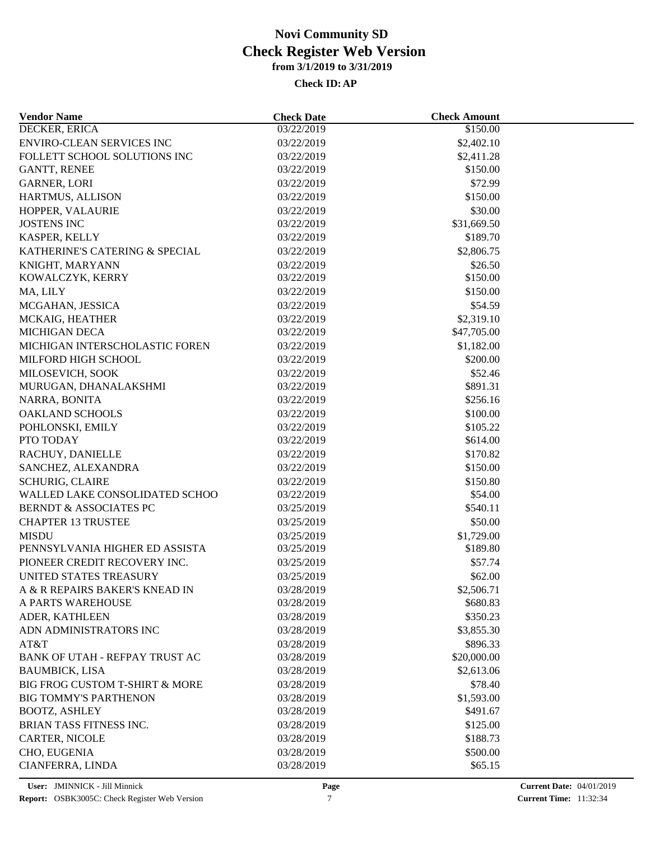| <b>Vendor Name</b>                | <b>Check Date</b> | <b>Check Amount</b> |  |
|-----------------------------------|-------------------|---------------------|--|
| <b>DECKER, ERICA</b>              | 03/22/2019        | \$150.00            |  |
| <b>ENVIRO-CLEAN SERVICES INC</b>  | 03/22/2019        | \$2,402.10          |  |
| FOLLETT SCHOOL SOLUTIONS INC      | 03/22/2019        | \$2,411.28          |  |
| <b>GANTT, RENEE</b>               | 03/22/2019        | \$150.00            |  |
| <b>GARNER, LORI</b>               | 03/22/2019        | \$72.99             |  |
| HARTMUS, ALLISON                  | 03/22/2019        | \$150.00            |  |
| HOPPER, VALAURIE                  | 03/22/2019        | \$30.00             |  |
| <b>JOSTENS INC</b>                | 03/22/2019        | \$31,669.50         |  |
| KASPER, KELLY                     | 03/22/2019        | \$189.70            |  |
| KATHERINE'S CATERING & SPECIAL    | 03/22/2019        | \$2,806.75          |  |
| KNIGHT, MARYANN                   | 03/22/2019        | \$26.50             |  |
| KOWALCZYK, KERRY                  | 03/22/2019        | \$150.00            |  |
| MA, LILY                          | 03/22/2019        | \$150.00            |  |
| MCGAHAN, JESSICA                  | 03/22/2019        | \$54.59             |  |
| MCKAIG, HEATHER                   | 03/22/2019        | \$2,319.10          |  |
| <b>MICHIGAN DECA</b>              | 03/22/2019        | \$47,705.00         |  |
| MICHIGAN INTERSCHOLASTIC FOREN    | 03/22/2019        | \$1,182.00          |  |
| MILFORD HIGH SCHOOL               | 03/22/2019        | \$200.00            |  |
| MILOSEVICH, SOOK                  | 03/22/2019        | \$52.46             |  |
| MURUGAN, DHANALAKSHMI             | 03/22/2019        | \$891.31            |  |
| NARRA, BONITA                     | 03/22/2019        | \$256.16            |  |
| <b>OAKLAND SCHOOLS</b>            | 03/22/2019        | \$100.00            |  |
| POHLONSKI, EMILY                  | 03/22/2019        | \$105.22            |  |
| PTO TODAY                         | 03/22/2019        | \$614.00            |  |
| RACHUY, DANIELLE                  | 03/22/2019        | \$170.82            |  |
| SANCHEZ, ALEXANDRA                | 03/22/2019        | \$150.00            |  |
| <b>SCHURIG, CLAIRE</b>            | 03/22/2019        | \$150.80            |  |
| WALLED LAKE CONSOLIDATED SCHOO    | 03/22/2019        | \$54.00             |  |
| <b>BERNDT &amp; ASSOCIATES PC</b> | 03/25/2019        | \$540.11            |  |
| <b>CHAPTER 13 TRUSTEE</b>         | 03/25/2019        | \$50.00             |  |
| <b>MISDU</b>                      |                   |                     |  |
| PENNSYLVANIA HIGHER ED ASSISTA    | 03/25/2019        | \$1,729.00          |  |
|                                   | 03/25/2019        | \$189.80            |  |
| PIONEER CREDIT RECOVERY INC.      | 03/25/2019        | \$57.74             |  |
| UNITED STATES TREASURY            | 03/25/2019        | \$62.00             |  |
| A & R REPAIRS BAKER'S KNEAD IN    | 03/28/2019        | \$2,506.71          |  |
| A PARTS WAREHOUSE                 | 03/28/2019        | \$680.83            |  |
| ADER, KATHLEEN                    | 03/28/2019        | \$350.23            |  |
| ADN ADMINISTRATORS INC            | 03/28/2019        | \$3,855.30          |  |
| AT&T                              | 03/28/2019        | \$896.33            |  |
| BANK OF UTAH - REFPAY TRUST AC    | 03/28/2019        | \$20,000.00         |  |
| <b>BAUMBICK, LISA</b>             | 03/28/2019        | \$2,613.06          |  |
| BIG FROG CUSTOM T-SHIRT & MORE    | 03/28/2019        | \$78.40             |  |
| <b>BIG TOMMY'S PARTHENON</b>      | 03/28/2019        | \$1,593.00          |  |
| <b>BOOTZ, ASHLEY</b>              | 03/28/2019        | \$491.67            |  |
| BRIAN TASS FITNESS INC.           | 03/28/2019        | \$125.00            |  |
| CARTER, NICOLE                    | 03/28/2019        | \$188.73            |  |
| CHO, EUGENIA                      | 03/28/2019        | \$500.00            |  |
| CIANFERRA, LINDA                  | 03/28/2019        | \$65.15             |  |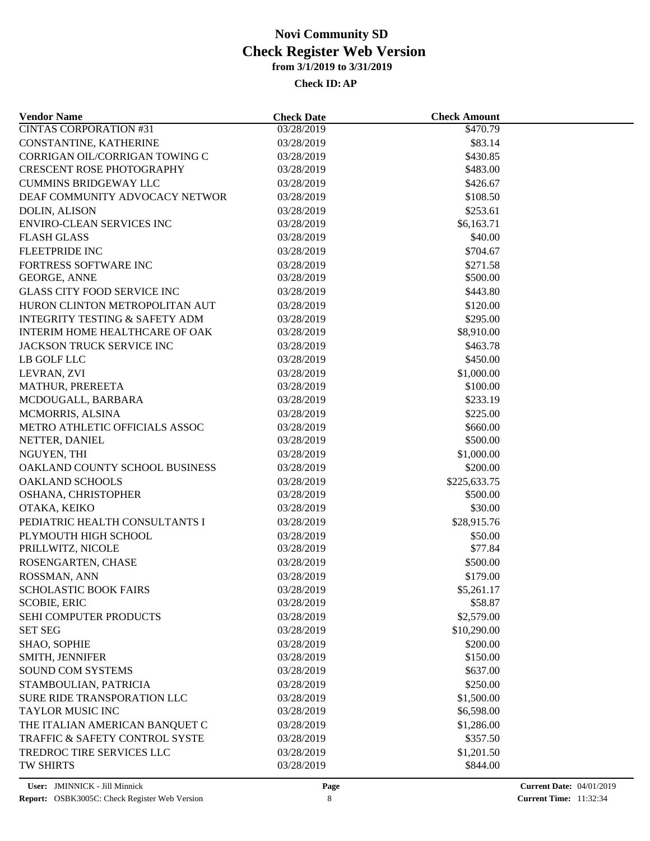| <b>Vendor Name</b>                        | <b>Check Date</b>        | <b>Check Amount</b> |  |
|-------------------------------------------|--------------------------|---------------------|--|
| <b>CINTAS CORPORATION #31</b>             | 03/28/2019               | \$470.79            |  |
| CONSTANTINE, KATHERINE                    | 03/28/2019               | \$83.14             |  |
| CORRIGAN OIL/CORRIGAN TOWING C            | 03/28/2019               | \$430.85            |  |
| <b>CRESCENT ROSE PHOTOGRAPHY</b>          | 03/28/2019               | \$483.00            |  |
| <b>CUMMINS BRIDGEWAY LLC</b>              | 03/28/2019               | \$426.67            |  |
| DEAF COMMUNITY ADVOCACY NETWOR            | 03/28/2019               | \$108.50            |  |
| <b>DOLIN, ALISON</b>                      | 03/28/2019               | \$253.61            |  |
| <b>ENVIRO-CLEAN SERVICES INC</b>          | 03/28/2019               | \$6,163.71          |  |
| <b>FLASH GLASS</b>                        | 03/28/2019               | \$40.00             |  |
| <b>FLEETPRIDE INC</b>                     | 03/28/2019               | \$704.67            |  |
| <b>FORTRESS SOFTWARE INC</b>              | 03/28/2019               | \$271.58            |  |
| GEORGE, ANNE                              | 03/28/2019               | \$500.00            |  |
| <b>GLASS CITY FOOD SERVICE INC</b>        | 03/28/2019               | \$443.80            |  |
| HURON CLINTON METROPOLITAN AUT            | 03/28/2019               | \$120.00            |  |
| <b>INTEGRITY TESTING &amp; SAFETY ADM</b> | 03/28/2019               | \$295.00            |  |
| INTERIM HOME HEALTHCARE OF OAK            | 03/28/2019               | \$8,910.00          |  |
| JACKSON TRUCK SERVICE INC                 | 03/28/2019               | \$463.78            |  |
| LB GOLF LLC                               | 03/28/2019               | \$450.00            |  |
| LEVRAN, ZVI                               | 03/28/2019               | \$1,000.00          |  |
| MATHUR, PREREETA                          | 03/28/2019               | \$100.00            |  |
| MCDOUGALL, BARBARA                        | 03/28/2019               | \$233.19            |  |
| MCMORRIS, ALSINA                          | 03/28/2019               | \$225.00            |  |
| METRO ATHLETIC OFFICIALS ASSOC            | 03/28/2019               | \$660.00            |  |
| NETTER, DANIEL                            | 03/28/2019               | \$500.00            |  |
| NGUYEN, THI                               | 03/28/2019               | \$1,000.00          |  |
| OAKLAND COUNTY SCHOOL BUSINESS            | 03/28/2019               | \$200.00            |  |
| <b>OAKLAND SCHOOLS</b>                    | 03/28/2019               | \$225,633.75        |  |
| OSHANA, CHRISTOPHER                       | 03/28/2019               | \$500.00            |  |
| OTAKA, KEIKO                              | 03/28/2019               | \$30.00             |  |
| PEDIATRIC HEALTH CONSULTANTS I            | 03/28/2019               | \$28,915.76         |  |
|                                           |                          |                     |  |
| PLYMOUTH HIGH SCHOOL                      | 03/28/2019               | \$50.00<br>\$77.84  |  |
| PRILLWITZ, NICOLE                         | 03/28/2019<br>03/28/2019 | \$500.00            |  |
| ROSENGARTEN, CHASE                        |                          |                     |  |
| ROSSMAN, ANN                              | 03/28/2019               | \$179.00            |  |
| <b>SCHOLASTIC BOOK FAIRS</b>              | 03/28/2019               | \$5,261.17          |  |
| <b>SCOBIE, ERIC</b>                       | 03/28/2019               | \$58.87             |  |
| SEHI COMPUTER PRODUCTS                    | 03/28/2019               | \$2,579.00          |  |
| <b>SET SEG</b>                            | 03/28/2019               | \$10,290.00         |  |
| <b>SHAO, SOPHIE</b>                       | 03/28/2019               | \$200.00            |  |
| SMITH, JENNIFER                           | 03/28/2019               | \$150.00            |  |
| <b>SOUND COM SYSTEMS</b>                  | 03/28/2019               | \$637.00            |  |
| STAMBOULIAN, PATRICIA                     | 03/28/2019               | \$250.00            |  |
| SURE RIDE TRANSPORATION LLC               | 03/28/2019               | \$1,500.00          |  |
| TAYLOR MUSIC INC                          | 03/28/2019               | \$6,598.00          |  |
| THE ITALIAN AMERICAN BANQUET C            | 03/28/2019               | \$1,286.00          |  |
| <b>TRAFFIC &amp; SAFETY CONTROL SYSTE</b> | 03/28/2019               | \$357.50            |  |
| TREDROC TIRE SERVICES LLC                 | 03/28/2019               | \$1,201.50          |  |
| <b>TW SHIRTS</b>                          | 03/28/2019               | \$844.00            |  |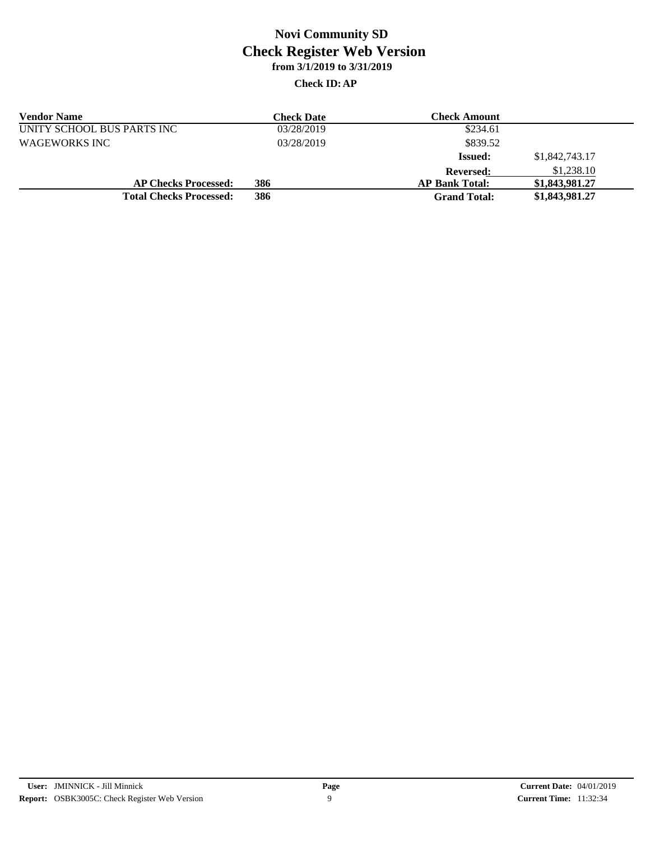| <b>Vendor Name</b>             | Check Date | Check Amount          |                |
|--------------------------------|------------|-----------------------|----------------|
| UNITY SCHOOL BUS PARTS INC     | 03/28/2019 | \$234.61              |                |
| <b>WAGEWORKS INC</b>           | 03/28/2019 | \$839.52              |                |
|                                |            | <b>Issued:</b>        | \$1,842,743.17 |
|                                |            | <b>Reversed:</b>      | \$1,238.10     |
| <b>AP Checks Processed:</b>    | 386        | <b>AP Bank Total:</b> | \$1,843,981.27 |
| <b>Total Checks Processed:</b> | 386        | <b>Grand Total:</b>   | \$1,843,981.27 |